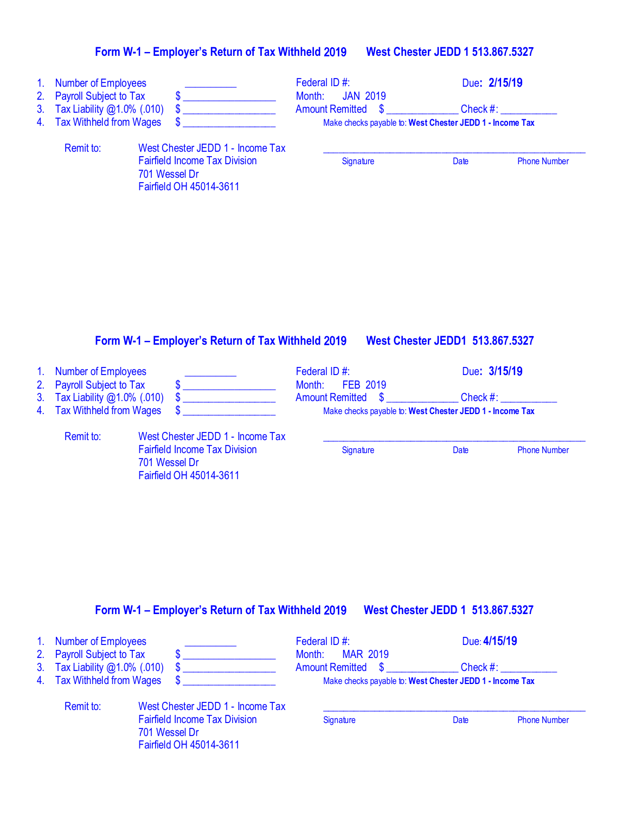| 1. Number of Employees<br>2. Payroll Subject to Tax |                                                                                  | Federal ID#:<br><b>JAN 2019</b><br>Month:                | Due: 2/15/19 |                     |  |
|-----------------------------------------------------|----------------------------------------------------------------------------------|----------------------------------------------------------|--------------|---------------------|--|
| 3. Tax Liability @1.0% (.010)                       |                                                                                  | <b>Amount Remitted \$</b>                                | Check $#$ :  |                     |  |
| 4. Tax Withheld from Wages                          |                                                                                  | Make checks payable to: West Chester JEDD 1 - Income Tax |              |                     |  |
| Remit to:                                           | West Chester JEDD 1 - Income Tax                                                 |                                                          |              |                     |  |
|                                                     | <b>Fairfield Income Tax Division</b><br>701 Wessel Dr<br>Fairfield OH 45014-3611 | Signature                                                | Date         | <b>Phone Number</b> |  |

#### **Form W-1 – Employer's Return of Tax Withheld** 2019 **West Chester JEDD1 513.867.5327**

701 Wessel Dr

Fairfield OH 45014-3611

#### 1. Number of Employees **Conserver Conserver Conserver Conserver Conserver Conserver Conserver Conserver Conserver Conserver Conserver Conserver Conserver Conserver Conserver Conserver Conserver Conserver Conserver Conserve** Payroll Subject to Tax Federal ID #: \$ \_\_\_\_\_\_\_\_\_\_\_\_\_\_\_\_\_\_ Month: FEB 2019 3. Tax Liability @1.0% (.010)  $\frac{2}{3}$  Amount Remitted  $\frac{2}{3}$  Check #: \_\_\_\_\_\_<br>4. Tax Withheld from Wages  $\frac{2}{3}$  Amount Remitted  $\frac{2}{3}$  Check #: \_\_\_\_\_\_\_\_ Make checks payable to: West Chester JEDD 1 - Income Tax Remit to: West Chester JEDD 1 - Income Tax

Fairfield Income Tax Division Signature Signature Date Phone Number

### **Form W-1 – Employer's Return of Tax Withheld** 2019 **West Chester JEDD 1 513.867.5327**

| 1. Number of Employees        |               |                                                                 | Federal ID#:              | Due: 4/15/19 |                     |
|-------------------------------|---------------|-----------------------------------------------------------------|---------------------------|--------------|---------------------|
| 2. Payroll Subject to Tax     |               |                                                                 | <b>MAR 2019</b><br>Month: |              |                     |
| 3. Tax Liability @1.0% (.010) |               |                                                                 | Amount Remitted \$        | Check #:     |                     |
| 4. Tax Withheld from Wages    |               | Make checks payable to: West Chester JEDD 1 - Income Tax        |                           |              |                     |
| Remit to:                     |               | West Chester JEDD 1 - Income Tax                                |                           |              |                     |
|                               | 701 Wessel Dr | <b>Fairfield Income Tax Division</b><br>Fairfield OH 45014-3611 | Signature                 | Date         | <b>Phone Number</b> |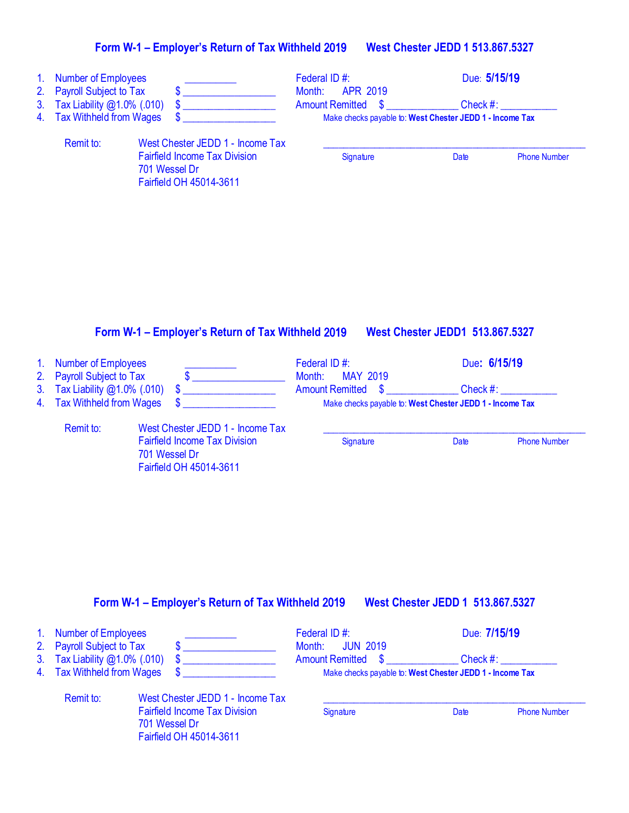| 1.<br>2.<br>3.<br>4.             | <b>Number of Employees</b><br><b>Payroll Subject to Tax</b><br>Tax Liability @1.0% (.010)<br><b>Tax Withheld from Wages</b> | S<br>\$                                                                                                              | Federal ID#:<br>Month:<br><b>APR 2019</b><br><b>Amount Remitted</b><br>$\mathbf{\$}$ | Due: 5/15/19<br>$Check$ #:<br>Make checks payable to: West Chester JEDD 1 - Income Tax |
|----------------------------------|-----------------------------------------------------------------------------------------------------------------------------|----------------------------------------------------------------------------------------------------------------------|--------------------------------------------------------------------------------------|----------------------------------------------------------------------------------------|
|                                  | Remit to:                                                                                                                   | West Chester JEDD 1 - Income Tax<br><b>Fairfield Income Tax Division</b><br>701 Wessel Dr<br>Fairfield OH 45014-3611 | Signature                                                                            | <b>Date</b><br><b>Phone Number</b>                                                     |
|                                  |                                                                                                                             |                                                                                                                      |                                                                                      |                                                                                        |
|                                  |                                                                                                                             | Form W-1 - Employer's Return of Tax Withheld 2019                                                                    |                                                                                      | <b>West Chester JEDD1 513.867.5327</b>                                                 |
| 1 <sub>1</sub><br>2.<br>3.<br>4. | <b>Number of Employees</b><br><b>Payroll Subject to Tax</b><br>Tax Liability @1.0% (.010)<br><b>Tax Withheld from Wages</b> | $\frac{1}{2}$<br>$\boldsymbol{\mathsf{S}}$<br>\$                                                                     | Federal ID#:<br>Month:<br><b>MAY 2019</b><br><b>Amount Remitted</b><br>\$            | Due: 6/15/19<br>Check #:<br>Make checks payable to: West Chester JEDD 1 - Income Tax   |
|                                  | Remit to:                                                                                                                   | West Chester JEDD 1 - Income Tax<br><b>Fairfield Income Tax Division</b><br>701 Wessel Dr<br>Fairfield OH 45014-3611 | Signature                                                                            | Date<br><b>Phone Number</b>                                                            |

## **Form W-1 – Employer's Return of Tax Withheld** 2019 **West Chester JEDD 1 513.867.5327**

| 1. Number of Employees        |                                      | Federal ID#:                                             | Due: 7/15/19 |                     |
|-------------------------------|--------------------------------------|----------------------------------------------------------|--------------|---------------------|
| 2. Payroll Subject to Tax     |                                      | Month: <b>JUN 2019</b>                                   |              |                     |
| 3. Tax Liability @1.0% (.010) |                                      | <b>Amount Remitted \$</b>                                | Check #:     |                     |
| 4. Tax Withheld from Wages    |                                      | Make checks payable to: West Chester JEDD 1 - Income Tax |              |                     |
| Remit to:                     | West Chester JEDD 1 - Income Tax     |                                                          |              |                     |
|                               | <b>Fairfield Income Tax Division</b> | Signature                                                | Date         | <b>Phone Number</b> |
|                               | 701 Wessel Dr                        |                                                          |              |                     |

Fairfield OH 45014-3611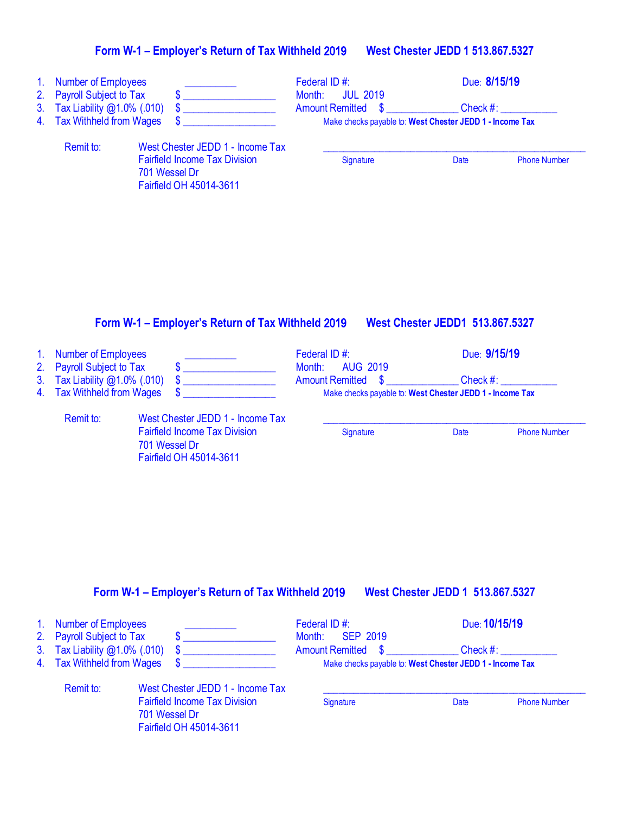| 1 <sub>1</sub><br>2.<br>3 <sub>1</sub><br>4. | <b>Number of Employees</b><br><b>Payroll Subject to Tax</b><br>Tax Liability @1.0% (.010)<br><b>Tax Withheld from Wages</b> |                                                                                                                      | Federal ID#:<br>Month:<br>Amount Remitted \$ | <b>JUL 2019</b>                        | Due: 8/15/19<br>Check #:<br>Make checks payable to: West Chester JEDD 1 - Income Tax |                     |
|----------------------------------------------|-----------------------------------------------------------------------------------------------------------------------------|----------------------------------------------------------------------------------------------------------------------|----------------------------------------------|----------------------------------------|--------------------------------------------------------------------------------------|---------------------|
|                                              | Remit to:                                                                                                                   | West Chester JEDD 1 - Income Tax<br><b>Fairfield Income Tax Division</b><br>701 Wessel Dr<br>Fairfield OH 45014-3611 | Signature                                    |                                        | Date                                                                                 | <b>Phone Number</b> |
|                                              |                                                                                                                             | Form W-1 - Employer's Return of Tax Withheld 2019                                                                    |                                              | <b>West Chester JEDD1 513.867.5327</b> |                                                                                      |                     |
|                                              | All Mussoling of Executive and                                                                                              |                                                                                                                      | $F = 1$ and $F = 100$                        |                                        | $D_{\text{max}}$ $\Delta$ $\Delta$ $\Delta$ $\Delta$ $\Delta$                        |                     |

| 1. Number of Employees        |                                      | Federal ID#:                                             | Due: 9/15/19 |                     |  |
|-------------------------------|--------------------------------------|----------------------------------------------------------|--------------|---------------------|--|
| 2. Payroll Subject to Tax     |                                      | Month: AUG 2019                                          |              |                     |  |
| 3. Tax Liability @1.0% (.010) |                                      | <b>Amount Remitted \$</b>                                | Check $#$ :  |                     |  |
| 4. Tax Withheld from Wages    |                                      | Make checks payable to: West Chester JEDD 1 - Income Tax |              |                     |  |
| Remit to:                     | West Chester JEDD 1 - Income Tax     |                                                          |              |                     |  |
|                               | <b>Fairfield Income Tax Division</b> | Signature                                                | Date         | <b>Phone Number</b> |  |

701 Wessel Dr

Fairfield OH 45014-3611

#### **Form W-1 – Employer's Return of Tax Withheld** 2019 **West Chester JEDD 1 513.867.5327**

| 1. Number of Employees<br>2. Payroll Subject to Tax |                                                                          | Federal ID#:<br>Month: SEP 2019                          | Due: 10/15/19 |                     |
|-----------------------------------------------------|--------------------------------------------------------------------------|----------------------------------------------------------|---------------|---------------------|
| 3. Tax Liability $@1.0\%$ (.010)                    |                                                                          | Amount Remitted \$                                       |               | $Check \#:$         |
| 4. Tax Withheld from Wages                          |                                                                          | Make checks payable to: West Chester JEDD 1 - Income Tax |               |                     |
| Remit to:                                           | West Chester JEDD 1 - Income Tax<br><b>Fairfield Income Tax Division</b> | Signature                                                | Date          | <b>Phone Number</b> |
|                                                     | 701 Wessel Dr<br>Fairfield OH 45014-3611                                 |                                                          |               |                     |